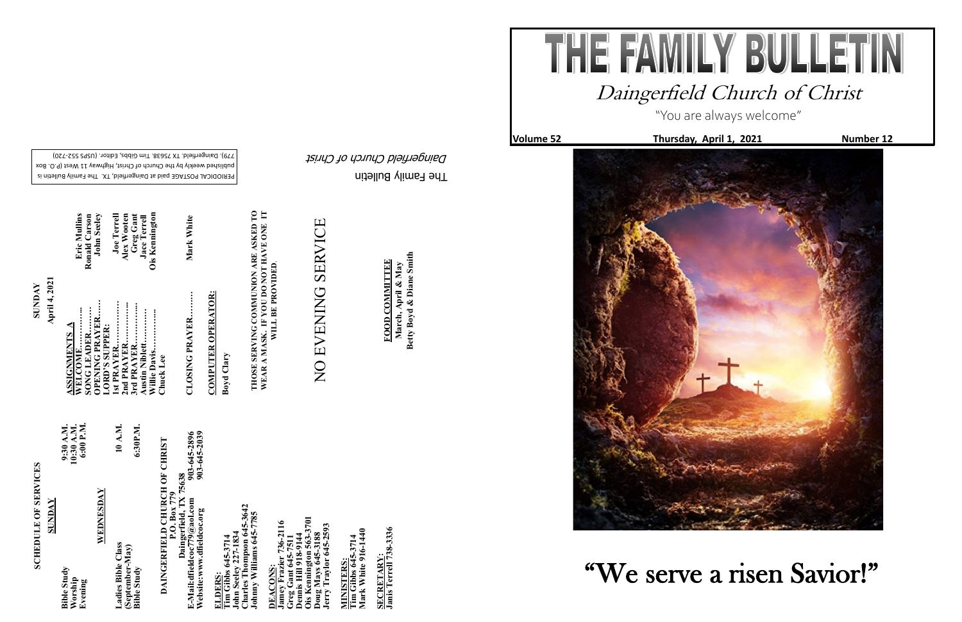The Family Bulletin

Daingerfield Church of Christ

PERIODICAL POSTAGE paid at Daingerfield, TX. The Family Bulletin is

# **SCHEDULE OF SERVICES SCHEDULE OF SERVICES**

published weekly by the Church of Christ, Highway 11 West (P.O. Box

720) - 779). Daingerfield. TX 75638. Tim Gibbs, Editor. (USPS 552

# DAINGERFIELD CHURCH OF CHRIST **DAINGERFIELD CHURCH OF CHRIST Daingerfield, TX 75638**

903-645-2896<br>903-645-2039 **Website:www.dfieldcoc.org 903-645-2039 E-Mail:dfieldcoc779@aol.com 903-645-2896** P.O. Box 779<br>E-Mail:dfieldcoc779@aol.com<br>Website:www.dfieldcoc.org<br>Website:www.dfieldcoc.org

**ELDERS:**<br>Tim Gibbs 645-3714<br>John Seeley 227-1834<br>Charles Thompson 645-3<br>Johnny Williams 645-77 **John Seeley 227-1834 Charles Thompson 645-3642 Johnny Williams 645-7785** 

| SUNDAY                                   |                                      |
|------------------------------------------|--------------------------------------|
| <b>Bible Study</b><br>Worship<br>Evening | 10:30 A.M.<br>6:00 P.M.<br>9:30 A.M. |
| WEDNESDAY                                |                                      |
| Ladies Bible Class                       | 10 A.M.                              |
| (September-May)<br><b>Bible Study</b>    | 6:30P.M.                             |

**Ois Kennington 563-3701 Jamey Frazier 736-2116**  Dennis Hill 918-9144<br>Ois Kennington 563-370<br>Doug Mays 645-3188<br>Jerry Traylor 645-2593 er 736-2116 **Jerry Traylor 645-2593 Greg Gant 645-7511 Dennis Hill 918-9144 Doug Mays 645-3188 DEACONS:**  amey Fraz<br>Freg Gant **DEACONS** 

MINISTERS:<br>Tim Gibbs 645-3714<br>Mark White 916-1440 **Mark White 916-1440 Tim Gibbs 645-3714 MINISTERS:**

SECRETARY:<br>Janis Terrell 738-3336 **Janis Terrell 738-3336 SECRETARY:**

**April 4, 2021 SUNDAY ASSIGNMENTS A SLLA** 

Eric Mullins<br>Ronald Carson<br>John Seeley **WELCOME…………... Eric Mullins 1st PRAYER……………. Joe Terrell 3rd PRAYER…………... Greg Gant OPENING PRAYER…… John Seeley Austin Niblett………… Jace Terrell Willie Davis…………... Ois Kennington 2nd PRAYER…………... Alex Wooten SONG LEADER……… Ronald Carson Joe Terrel** Alex Wooter **LORD'S SUPPER: Willie Da**<br>Chuck L

۲

Greg Gant<br>Jace Terrell Ois Kenningto

rd PR. ustin

**Tim Gibbs 645-3714** 

**CLOSING PRAYER……… Mark White**  CLOSING PRAYER........

Mark White

**COMPUTER OPERATOR: COMPUTER OPERATOR:** 

# NO EVENING SERVICE NO EVENING SERVICE

March, April & May<br>Betty Boyd & Diane Smith **Betty Boyd & Diane Smith FOOD COMMITTEE FOOD COMMITTEE March, April & May**

"You are always welcome" **Volume 52 Thursday, April 1, 2021 Number 12** 





**Boyd Clary**

**THOSE SERVING COMMUNION ARE ASKED TO WEAR A MASK. IF YOU DO NOT HAVE ONE IT**  THOSE SERVING COMMUNION ARE ASKED TO<br>WEAR A MASK. IF YOU DO NOT HAVE ONE IT<br>WILL BE PROVIDED. **WILL BE PROVIDED**.

### Daingerfield Church of Christ

## "We serve a risen Savior!"